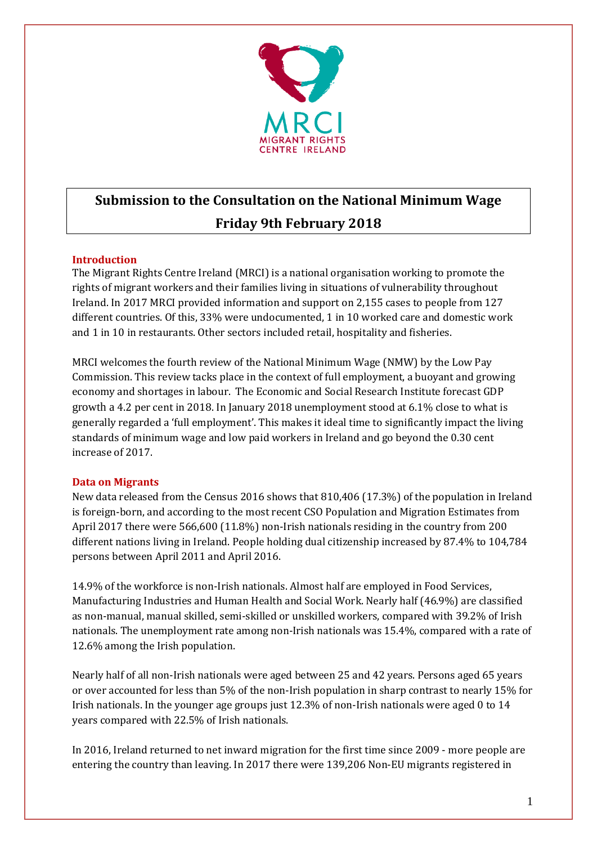

# **Submission to the Consultation on the National Minimum Wage Friday 9th February 2018**

# **Introduction**

The Migrant Rights Centre Ireland (MRCI) is a national organisation working to promote the rights of migrant workers and their families living in situations of vulnerability throughout Ireland. In 2017 MRCI provided information and support on 2,155 cases to people from 127 different countries. Of this, 33% were undocumented, 1 in 10 worked care and domestic work and 1 in 10 in restaurants. Other sectors included retail, hospitality and fisheries.

MRCI welcomes the fourth review of the National Minimum Wage (NMW) by the Low Pay Commission. This review tacks place in the context of full employment, a buoyant and growing economy and shortages in labour. The Economic and Social Research Institute forecast GDP growth a 4.2 per cent in 2018. In January 2018 unemployment stood at 6.1% close to what is generally regarded a 'full employment'. This makes it ideal time to significantly impact the living standards of minimum wage and low paid workers in Ireland and go beyond the 0.30 cent increase of 2017.

# **Data on Migrants**

New data released from the Census 2016 shows that 810,406 (17.3%) of the population in Ireland is foreign-born, and according to the most recent CSO Population and Migration Estimates from April 2017 there were 566,600 (11.8%) non-Irish nationals residing in the country from 200 different nations living in Ireland. People holding dual citizenship increased by 87.4% to 104,784 persons between April 2011 and April 2016.

14.9% of the workforce is non-Irish nationals. Almost half are employed in Food Services, Manufacturing Industries and Human Health and Social Work. Nearly half (46.9%) are classified as non-manual, manual skilled, semi-skilled or unskilled workers, compared with 39.2% of Irish nationals. The unemployment rate among non-Irish nationals was 15.4%, compared with a rate of 12.6% among the Irish population.

Nearly half of all non-Irish nationals were aged between 25 and 42 years. Persons aged 65 years or over accounted for less than 5% of the non-Irish population in sharp contrast to nearly 15% for Irish nationals. In the younger age groups just 12.3% of non-Irish nationals were aged 0 to 14 years compared with 22.5% of Irish nationals.

In 2016, Ireland returned to net inward migration for the first time since 2009 - more people are entering the country than leaving. In 2017 there were 139,206 Non-EU migrants registered in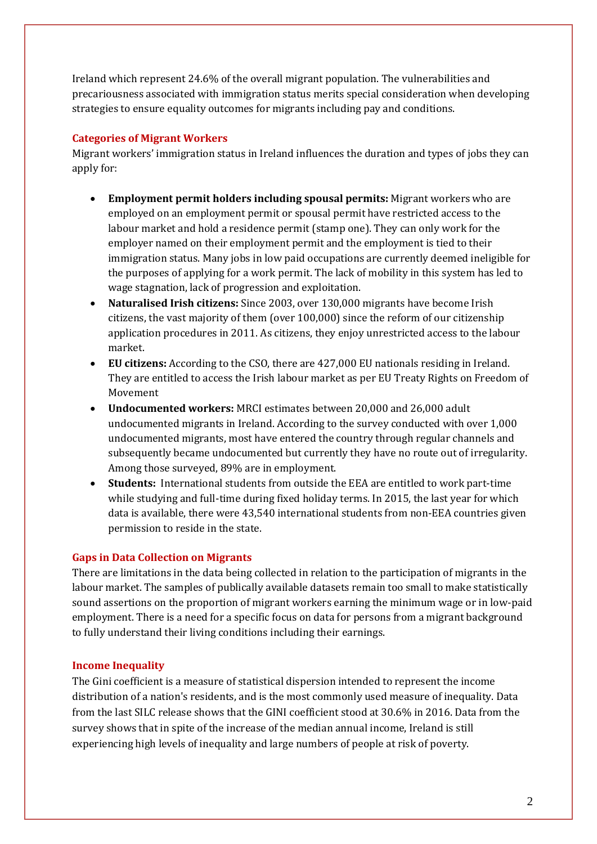Ireland which represent 24.6% of the overall migrant population. The vulnerabilities and precariousness associated with immigration status merits special consideration when developing strategies to ensure equality outcomes for migrants including pay and conditions.

# **Categories of Migrant Workers**

Migrant workers' immigration status in Ireland influences the duration and types of jobs they can apply for:

- **Employment permit holders including spousal permits:** Migrant workers who are employed on an employment permit or spousal permit have restricted access to the labour market and hold a residence permit (stamp one). They can only work for the employer named on their employment permit and the employment is tied to their immigration status. Many jobs in low paid occupations are currently deemed ineligible for the purposes of applying for a work permit. The lack of mobility in this system has led to wage stagnation, lack of progression and exploitation.
- **Naturalised Irish citizens:** Since 2003, over 130,000 migrants have become Irish citizens, the vast majority of them (over 100,000) since the reform of our citizenship application procedures in 2011. As citizens, they enjoy unrestricted access to the labour market.
- **EU citizens:** According to the CSO, there are 427,000 EU nationals residing in Ireland. They are entitled to access the Irish labour market as per EU Treaty Rights on Freedom of Movement
- **Undocumented workers:** MRCI estimates between 20,000 and 26,000 adult undocumented migrants in Ireland. According to the survey conducted with over 1,000 undocumented migrants, most have entered the country through regular channels and subsequently became undocumented but currently they have no route out of irregularity. Among those surveyed, 89% are in employment.
- **Students:** International students from outside the EEA are entitled to work part-time while studying and full-time during fixed holiday terms. In 2015, the last year for which data is available, there were 43,540 international students from non-EEA countries given permission to reside in the state.

# **Gaps in Data Collection on Migrants**

There are limitations in the data being collected in relation to the participation of migrants in the labour market. The samples of publically available datasets remain too small to make statistically sound assertions on the proportion of migrant workers earning the minimum wage or in low-paid employment. There is a need for a specific focus on data for persons from a migrant background to fully understand their living conditions including their earnings.

# **Income Inequality**

The Gini coefficient is a measure of statistical dispersion intended to represent the income distribution of a nation's residents, and is the most commonly used measure of inequality. Data from the last SILC release shows that the GINI coefficient stood at 30.6% in 2016. Data from the survey shows that in spite of the increase of the median annual income, Ireland is still experiencing high levels of inequality and large numbers of people at risk of poverty.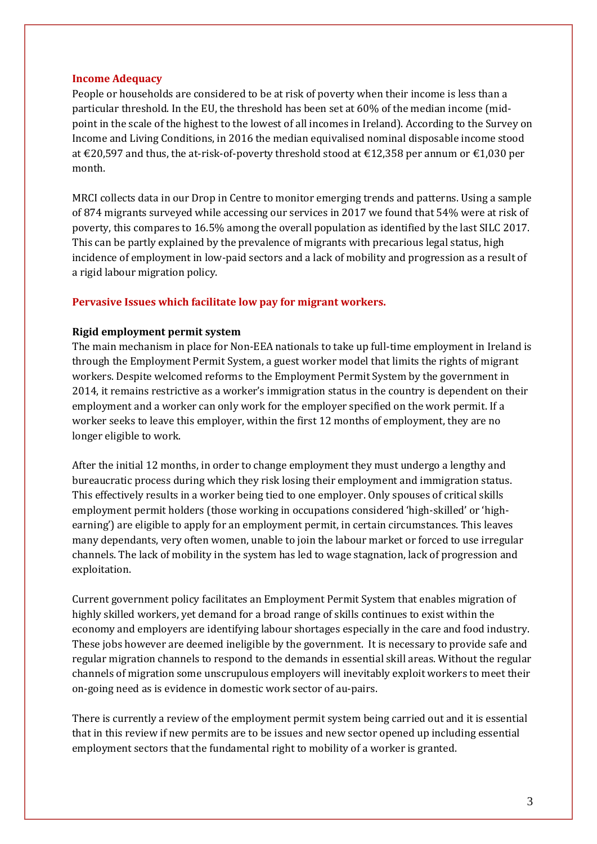#### **Income Adequacy**

People or households are considered to be at risk of poverty when their income is less than a particular threshold. In the EU, the threshold has been set at 60% of the median income (midpoint in the scale of the highest to the lowest of all incomes in Ireland). According to the Survey on Income and Living Conditions, in 2016 the median equivalised nominal disposable income stood at €20,597 and thus, the at-risk-of-poverty threshold stood at €12,358 per annum or €1,030 per month.

MRCI collects data in our Drop in Centre to monitor emerging trends and patterns. Using a sample of 874 migrants surveyed while accessing our services in 2017 we found that 54% were at risk of poverty, this compares to 16.5% among the overall population as identified by the last SILC 2017. This can be partly explained by the prevalence of migrants with precarious legal status, high incidence of employment in low-paid sectors and a lack of mobility and progression as a result of a rigid labour migration policy.

## **Pervasive Issues which facilitate low pay for migrant workers.**

#### **Rigid employment permit system**

The main mechanism in place for Non-EEA nationals to take up full-time employment in Ireland is through the Employment Permit System, a guest worker model that limits the rights of migrant workers. Despite welcomed reforms to the Employment Permit System by the government in 2014, it remains restrictive as a worker's immigration status in the country is dependent on their employment and a worker can only work for the employer specified on the work permit. If a worker seeks to leave this employer, within the first 12 months of employment, they are no longer eligible to work.

After the initial 12 months, in order to change employment they must undergo a lengthy and bureaucratic process during which they risk losing their employment and immigration status. This effectively results in a worker being tied to one employer. Only spouses of critical skills employment permit holders (those working in occupations considered 'high-skilled' or 'highearning') are eligible to apply for an employment permit, in certain circumstances. This leaves many dependants, very often women, unable to join the labour market or forced to use irregular channels. The lack of mobility in the system has led to wage stagnation, lack of progression and exploitation.

Current government policy facilitates an Employment Permit System that enables migration of highly skilled workers, yet demand for a broad range of skills continues to exist within the economy and employers are identifying labour shortages especially in the care and food industry. These jobs however are deemed ineligible by the government. It is necessary to provide safe and regular migration channels to respond to the demands in essential skill areas. Without the regular channels of migration some unscrupulous employers will inevitably exploit workers to meet their on-going need as is evidence in domestic work sector of au-pairs.

There is currently a review of the employment permit system being carried out and it is essential that in this review if new permits are to be issues and new sector opened up including essential employment sectors that the fundamental right to mobility of a worker is granted.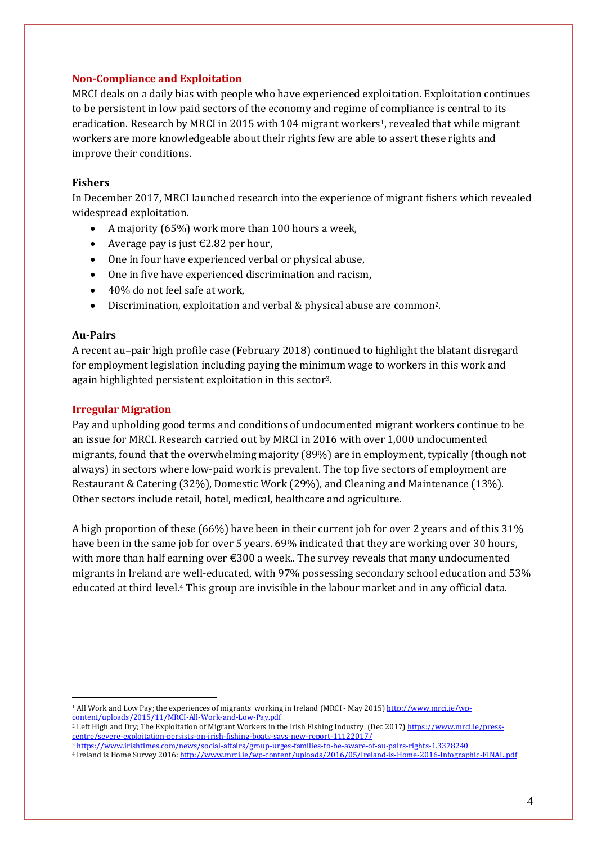## **Non-Compliance and Exploitation**

MRCI deals on a daily bias with people who have experienced exploitation. Exploitation continues to be persistent in low paid sectors of the economy and regime of compliance is central to its eradication. Research by MRCI in 2015 with 104 migrant workers<sup>1</sup>, revealed that while migrant workers are more knowledgeable about their rights few are able to assert these rights and improve their conditions.

## **Fishers**

In December 2017, MRCI launched research into the experience of migrant fishers which revealed widespread exploitation.

- A majority (65%) work more than 100 hours a week,
- Average pay is just  $\text{\textsterling}2.82$  per hour,
- One in four have experienced verbal or physical abuse,
- One in five have experienced discrimination and racism,
- 40% do not feel safe at work,
- Discrimination, exploitation and verbal & physical abuse are common2.

## **Au-Pairs**

1

A recent au–pair high profile case (February 2018) continued to highlight the blatant disregard for employment legislation including paying the minimum wage to workers in this work and again highlighted persistent exploitation in this sector 3.

# **Irregular Migration**

Pay and upholding good terms and conditions of undocumented migrant workers continue to be an issue for MRCI. Research carried out by MRCI in 2016 with over 1,000 undocumented migrants, found that the overwhelming majority (89%) are in employment, typically (though not always) in sectors where low-paid work is prevalent. The top five sectors of employment are Restaurant & Catering (32%), Domestic Work (29%), and Cleaning and Maintenance (13%). Other sectors include retail, hotel, medical, healthcare and agriculture.

A high proportion of these (66%) have been in their current job for over 2 years and of this 31% have been in the same job for over 5 years. 69% indicated that they are working over 30 hours, with more than half earning over  $\epsilon$ 300 a week.. The survey reveals that many undocumented migrants in Ireland are well-educated, with 97% possessing secondary school education and 53% educated at third level.<sup>4</sup> This group are invisible in the labour market and in any official data.

<sup>1</sup> All Work and Low Pay; the experiences of migrants working in Ireland (MRCI - May 2015) [http://www.mrci.ie/wp](http://www.mrci.ie/wp-content/uploads/2015/11/MRCI-All-Work-and-Low-Pay.pdf)[content/uploads/2015/11/MRCI-All-Work-and-Low-Pay.pdf](http://www.mrci.ie/wp-content/uploads/2015/11/MRCI-All-Work-and-Low-Pay.pdf)

<sup>&</sup>lt;sup>2</sup> Left High and Dry; The Exploitation of Migrant Workers in the Irish Fishing Industry (Dec 2017[\) https://www.mrci.ie/press](https://www.mrci.ie/press-centre/severe-exploitation-persists-on-irish-fishing-boats-says-new-report-11122017/)[centre/severe-exploitation-persists-on-irish-fishing-boats-says-new-report-11122017/](https://www.mrci.ie/press-centre/severe-exploitation-persists-on-irish-fishing-boats-says-new-report-11122017/)

<sup>3</sup> <https://www.irishtimes.com/news/social-affairs/group-urges-families-to-be-aware-of-au-pairs-rights-1.3378240>

<sup>4</sup> Ireland is Home Survey 2016[: http://www.mrci.ie/wp-content/uploads/2016/05/Ireland-is-Home-2016-Infographic-FINAL.pdf](http://www.mrci.ie/wp-content/uploads/2016/05/Ireland-is-Home-2016-Infographic-FINAL.pdf)